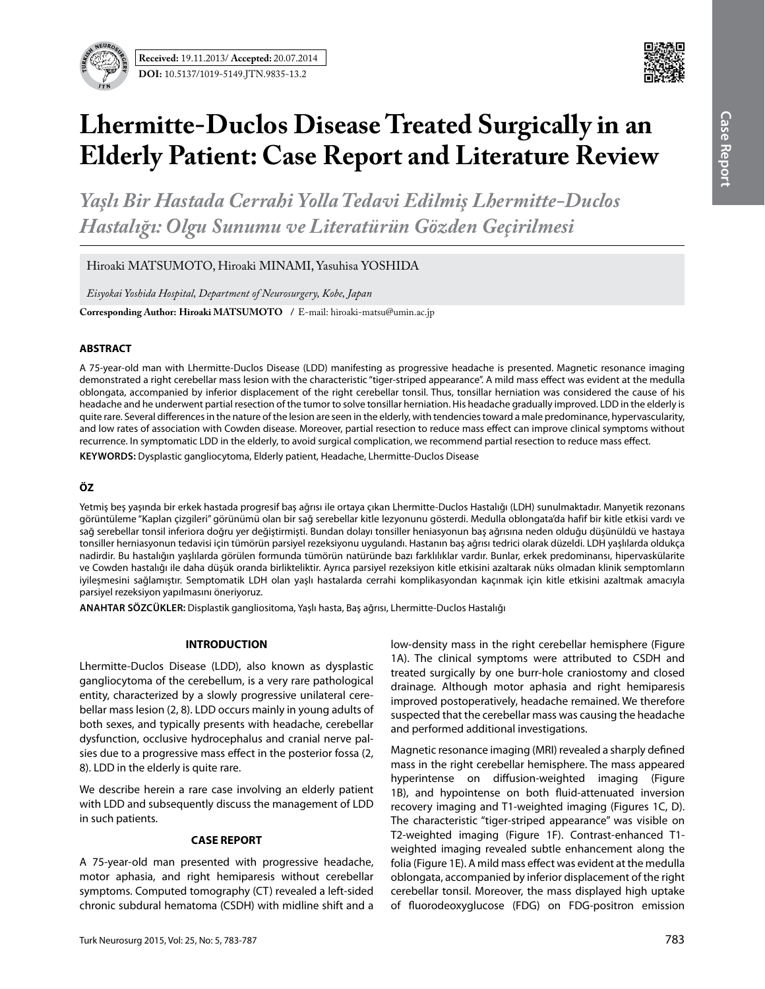

# **Lhermitte-Duclos Disease Treated Surgically in an Elderly Patient: Case Report and Literature Review**

*Yaşlı Bir Hastada Cerrahi Yolla Tedavi Edilmiş Lhermitte-Duclos Hastalığı: Olgu Sunumu ve Literatürün Gözden Geçirilmesi*

Hiroaki MATSUMOTO, Hiroaki MINAMI, Yasuhisa YOSHIDA

*Eisyokai Yoshida Hospital, Department of Neurosurgery, Kobe, Japan*

**Corresponding Author: Hiroaki MATSUMOTO /** E-mail: hiroaki-matsu@umin.ac.jp

## **ABSTRACT**

A 75-year-old man with Lhermitte-Duclos Disease (LDD) manifesting as progressive headache is presented. Magnetic resonance imaging demonstrated a right cerebellar mass lesion with the characteristic "tiger-striped appearance". A mild mass effect was evident at the medulla oblongata, accompanied by inferior displacement of the right cerebellar tonsil. Thus, tonsillar herniation was considered the cause of his headache and he underwent partial resection of the tumor to solve tonsillar herniation. His headache gradually improved. LDD in the elderly is quite rare. Several differences in the nature of the lesion are seen in the elderly, with tendencies toward a male predominance, hypervascularity, and low rates of association with Cowden disease. Moreover, partial resection to reduce mass effect can improve clinical symptoms without recurrence. In symptomatic LDD in the elderly, to avoid surgical complication, we recommend partial resection to reduce mass effect.

**Keywords:** Dysplastic gangliocytoma, Elderly patient, Headache, Lhermitte-Duclos Disease

# **ÖZ**

Yetmiş beş yaşında bir erkek hastada progresif baş ağrısı ile ortaya çıkan Lhermitte-Duclos Hastalığı (LDH) sunulmaktadır. Manyetik rezonans görüntüleme "Kaplan çizgileri" görünümü olan bir sağ serebellar kitle lezyonunu gösterdi. Medulla oblongata'da hafif bir kitle etkisi vardı ve sağ serebellar tonsil inferiora doğru yer değiştirmişti. Bundan dolayı tonsiller heniasyonun baş ağrısına neden olduğu düşünüldü ve hastaya tonsiller herniasyonun tedavisi için tümörün parsiyel rezeksiyonu uygulandı. Hastanın baş ağrısı tedrici olarak düzeldi. LDH yaşlılarda oldukça nadirdir. Bu hastalığın yaşlılarda görülen formunda tümörün natüründe bazı farklılıklar vardır. Bunlar, erkek predominansı, hipervaskülarite ve Cowden hastalığı ile daha düşük oranda birlikteliktir. Ayrıca parsiyel rezeksiyon kitle etkisini azaltarak nüks olmadan klinik semptomların iyileşmesini sağlamıştır. Semptomatik LDH olan yaşlı hastalarda cerrahi komplikasyondan kaçınmak için kitle etkisini azaltmak amacıyla parsiyel rezeksiyon yapılmasını öneriyoruz.

**ANAHTAR SÖZCÜKLER:** Displastik gangliositoma, Yaşlı hasta, Baş ağrısı, Lhermitte-Duclos Hastalığı

## **INTRODUCTION**

Lhermitte-Duclos Disease (LDD), also known as dysplastic gangliocytoma of the cerebellum, is a very rare pathological entity, characterized by a slowly progressive unilateral cerebellar mass lesion (2, 8). LDD occurs mainly in young adults of both sexes, and typically presents with headache, cerebellar dysfunction, occlusive hydrocephalus and cranial nerve palsies due to a progressive mass effect in the posterior fossa (2, 8). LDD in the elderly is quite rare.

We describe herein a rare case involving an elderly patient with LDD and subsequently discuss the management of LDD in such patients.

### **CASE REPORT**

A 75-year-old man presented with progressive headache, motor aphasia, and right hemiparesis without cerebellar symptoms. Computed tomography (CT) revealed a left-sided chronic subdural hematoma (CSDH) with midline shift and a

low-density mass in the right cerebellar hemisphere (Figure 1A). The clinical symptoms were attributed to CSDH and treated surgically by one burr-hole craniostomy and closed drainage. Although motor aphasia and right hemiparesis improved postoperatively, headache remained. We therefore suspected that the cerebellar mass was causing the headache and performed additional investigations.

Magnetic resonance imaging (MRI) revealed a sharply defined mass in the right cerebellar hemisphere. The mass appeared hyperintense on diffusion-weighted imaging (Figure 1B), and hypointense on both fluid-attenuated inversion recovery imaging and T1-weighted imaging (Figures 1C, D). The characteristic "tiger-striped appearance" was visible on T2-weighted imaging (Figure 1F). Contrast-enhanced T1 weighted imaging revealed subtle enhancement along the folia (Figure 1E). A mild mass effect was evident at the medulla oblongata, accompanied by inferior displacement of the right cerebellar tonsil. Moreover, the mass displayed high uptake of fluorodeoxyglucose (FDG) on FDG-positron emission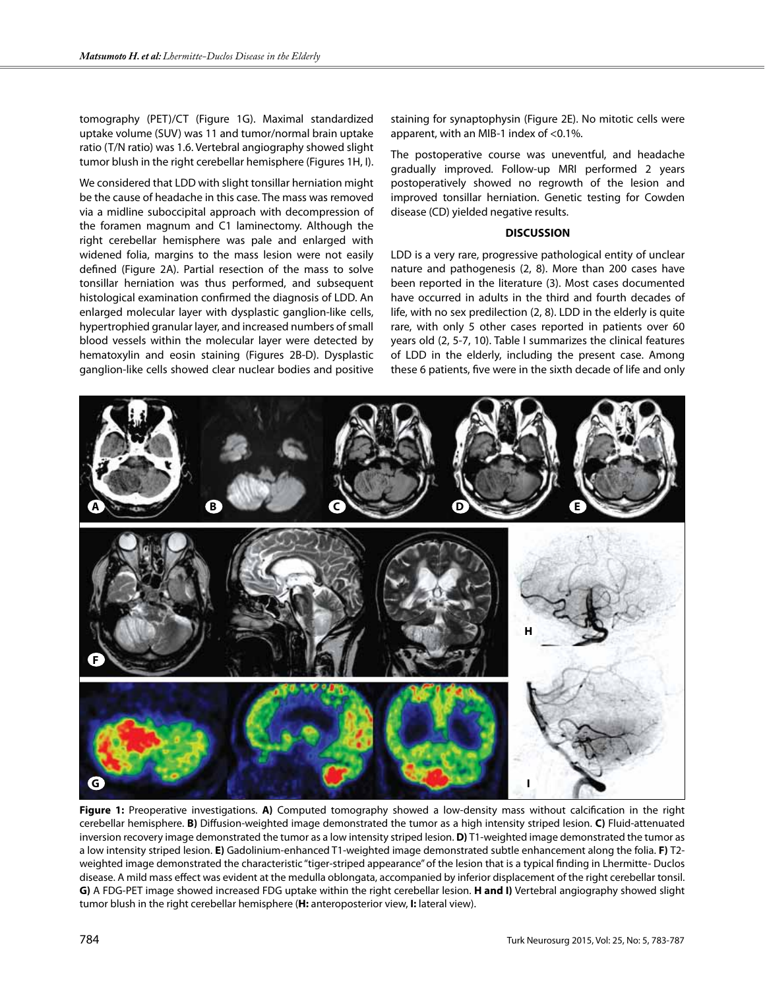tomography (PET)/CT (Figure 1G). Maximal standardized uptake volume (SUV) was 11 and tumor/normal brain uptake ratio (T/N ratio) was 1.6. Vertebral angiography showed slight tumor blush in the right cerebellar hemisphere (Figures 1H, I).

We considered that LDD with slight tonsillar herniation might be the cause of headache in this case. The mass was removed via a midline suboccipital approach with decompression of the foramen magnum and C1 laminectomy. Although the right cerebellar hemisphere was pale and enlarged with widened folia, margins to the mass lesion were not easily defined (Figure 2A). Partial resection of the mass to solve tonsillar herniation was thus performed, and subsequent histological examination confirmed the diagnosis of LDD. An enlarged molecular layer with dysplastic ganglion-like cells, hypertrophied granular layer, and increased numbers of small blood vessels within the molecular layer were detected by hematoxylin and eosin staining (Figures 2B-D). Dysplastic ganglion-like cells showed clear nuclear bodies and positive staining for synaptophysin (Figure 2E). No mitotic cells were apparent, with an MIB-1 index of <0.1%.

The postoperative course was uneventful, and headache gradually improved. Follow-up MRI performed 2 years postoperatively showed no regrowth of the lesion and improved tonsillar herniation. Genetic testing for Cowden disease (CD) yielded negative results.

#### **DISCUSSION**

LDD is a very rare, progressive pathological entity of unclear nature and pathogenesis (2, 8). More than 200 cases have been reported in the literature (3). Most cases documented have occurred in adults in the third and fourth decades of life, with no sex predilection (2, 8). LDD in the elderly is quite rare, with only 5 other cases reported in patients over 60 years old (2, 5-7, 10). Table I summarizes the clinical features of LDD in the elderly, including the present case. Among these 6 patients, five were in the sixth decade of life and only



**Figure 1:** Preoperative investigations. **A)** Computed tomography showed a low-density mass without calcification in the right cerebellar hemisphere. **B)** Diffusion-weighted image demonstrated the tumor as a high intensity striped lesion. **C)** Fluid-attenuated inversion recovery image demonstrated the tumor as a low intensity striped lesion. **D)** T1-weighted image demonstrated the tumor as a low intensity striped lesion. **E)** Gadolinium-enhanced T1-weighted image demonstrated subtle enhancement along the folia. **F)** T2 weighted image demonstrated the characteristic "tiger-striped appearance" of the lesion that is a typical finding in Lhermitte- Duclos disease. A mild mass effect was evident at the medulla oblongata, accompanied by inferior displacement of the right cerebellar tonsil. **G)** A FDG-PET image showed increased FDG uptake within the right cerebellar lesion. **H and I)** Vertebral angiography showed slight tumor blush in the right cerebellar hemisphere (**H:** anteroposterior view, **I:** lateral view).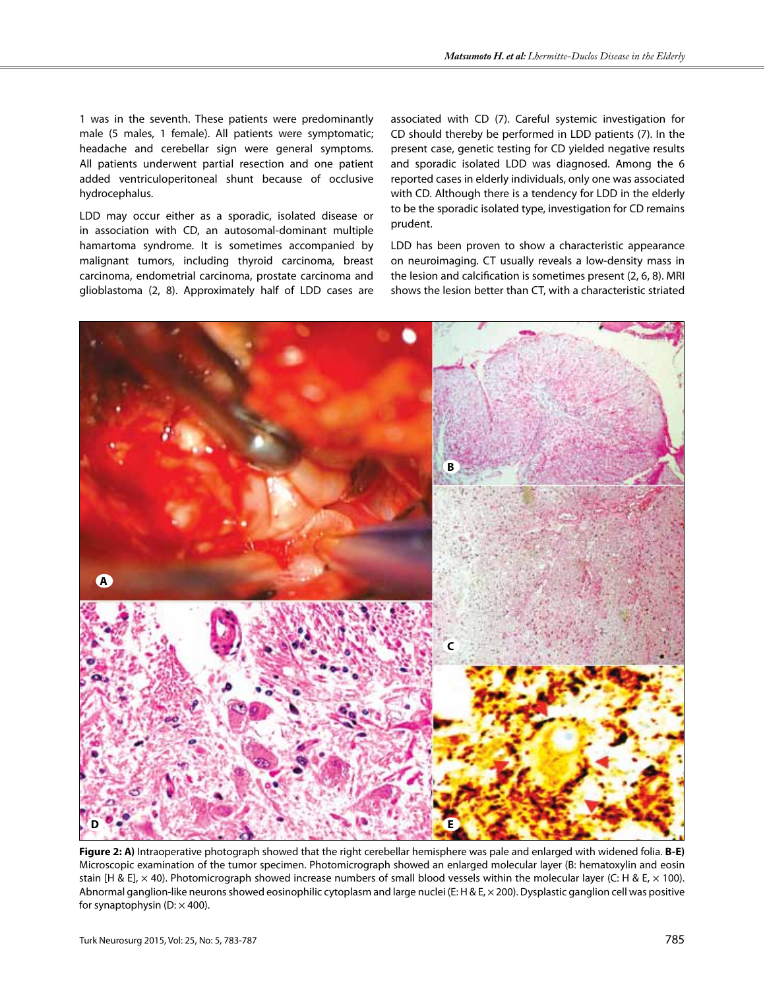1 was in the seventh. These patients were predominantly male (5 males, 1 female). All patients were symptomatic; headache and cerebellar sign were general symptoms. All patients underwent partial resection and one patient added ventriculoperitoneal shunt because of occlusive hydrocephalus.

LDD may occur either as a sporadic, isolated disease or in association with CD, an autosomal-dominant multiple hamartoma syndrome. It is sometimes accompanied by malignant tumors, including thyroid carcinoma, breast carcinoma, endometrial carcinoma, prostate carcinoma and glioblastoma (2, 8). Approximately half of LDD cases are associated with CD (7). Careful systemic investigation for CD should thereby be performed in LDD patients (7). In the present case, genetic testing for CD yielded negative results and sporadic isolated LDD was diagnosed. Among the 6 reported cases in elderly individuals, only one was associated with CD. Although there is a tendency for LDD in the elderly to be the sporadic isolated type, investigation for CD remains prudent.

LDD has been proven to show a characteristic appearance on neuroimaging. CT usually reveals a low-density mass in the lesion and calcification is sometimes present (2, 6, 8). MRI shows the lesion better than CT, with a characteristic striated



**Figure 2: A)** Intraoperative photograph showed that the right cerebellar hemisphere was pale and enlarged with widened folia. **B-E)** Microscopic examination of the tumor specimen. Photomicrograph showed an enlarged molecular layer (B: hematoxylin and eosin stain [H & E],  $\times$  40). Photomicrograph showed increase numbers of small blood vessels within the molecular layer (C: H & E,  $\times$  100). Abnormal ganglion-like neurons showed eosinophilic cytoplasm and large nuclei (E: H & E,  $\times$  200). Dysplastic ganglion cell was positive for synaptophysin (D:  $\times$  400).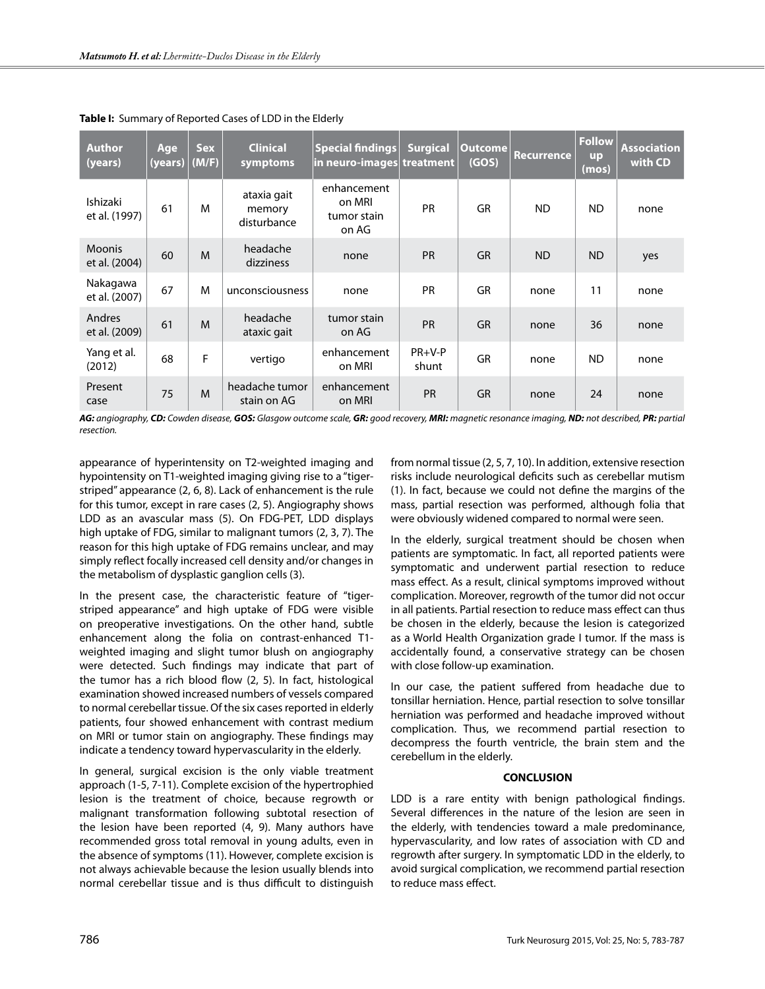| <b>Author</b><br>(years)       | Age<br>(years) | <b>Sex</b><br>(M/F) | <b>Clinical</b><br>symptoms          | Special findings<br>in neuro-images  treatment | <b>Surgical</b>   | Outcome<br>(GOS) | <b>Recurrence</b> | <b>Follow</b><br><b>up</b><br>(mos) | <b>Association</b><br>with CD |
|--------------------------------|----------------|---------------------|--------------------------------------|------------------------------------------------|-------------------|------------------|-------------------|-------------------------------------|-------------------------------|
| Ishizaki<br>et al. (1997)      | 61             | M                   | ataxia gait<br>memory<br>disturbance | enhancement<br>on MRI<br>tumor stain<br>on AG  | <b>PR</b>         | GR               | <b>ND</b>         | <b>ND</b>                           | none                          |
| <b>Moonis</b><br>et al. (2004) | 60             | M                   | headache<br>dizziness                | none                                           | <b>PR</b>         | <b>GR</b>        | <b>ND</b>         | <b>ND</b>                           | yes                           |
| Nakagawa<br>et al. (2007)      | 67             | M                   | unconsciousness                      | none                                           | <b>PR</b>         | GR               | none              | 11                                  | none                          |
| Andres<br>et al. (2009)        | 61             | M                   | headache<br>ataxic gait              | tumor stain<br>on AG                           | PR                | <b>GR</b>        | none              | 36                                  | none                          |
| Yang et al.<br>(2012)          | 68             | F                   | vertigo                              | enhancement<br>on MRI                          | $PR+V-P$<br>shunt | GR               | none              | <b>ND</b>                           | none                          |
| Present<br>case                | 75             | M                   | headache tumor<br>stain on AG        | enhancement<br>on MRI                          | PR                | <b>GR</b>        | none              | 24                                  | none                          |

**Table I:** Summary of Reported Cases of LDD in the Elderly

AG: angiography, CD: Cowden disease, GOS: Glasgow outcome scale, GR: good recovery, MRI: magnetic resonance imaging, ND: not described, PR: partial *resection.*

appearance of hyperintensity on T2-weighted imaging and hypointensity on T1-weighted imaging giving rise to a "tigerstriped" appearance (2, 6, 8). Lack of enhancement is the rule for this tumor, except in rare cases (2, 5). Angiography shows LDD as an avascular mass (5). On FDG-PET, LDD displays high uptake of FDG, similar to malignant tumors (2, 3, 7). The reason for this high uptake of FDG remains unclear, and may simply reflect focally increased cell density and/or changes in the metabolism of dysplastic ganglion cells (3).

In the present case, the characteristic feature of "tigerstriped appearance" and high uptake of FDG were visible on preoperative investigations. On the other hand, subtle enhancement along the folia on contrast-enhanced T1 weighted imaging and slight tumor blush on angiography were detected. Such findings may indicate that part of the tumor has a rich blood flow (2, 5). In fact, histological examination showed increased numbers of vessels compared to normal cerebellar tissue. Of the six cases reported in elderly patients, four showed enhancement with contrast medium on MRI or tumor stain on angiography. These findings may indicate a tendency toward hypervascularity in the elderly.

In general, surgical excision is the only viable treatment approach (1-5, 7-11). Complete excision of the hypertrophied lesion is the treatment of choice, because regrowth or malignant transformation following subtotal resection of the lesion have been reported (4, 9). Many authors have recommended gross total removal in young adults, even in the absence of symptoms (11). However, complete excision is not always achievable because the lesion usually blends into normal cerebellar tissue and is thus difficult to distinguish from normal tissue (2, 5, 7, 10). In addition, extensive resection risks include neurological deficits such as cerebellar mutism (1). In fact, because we could not define the margins of the mass, partial resection was performed, although folia that were obviously widened compared to normal were seen.

In the elderly, surgical treatment should be chosen when patients are symptomatic. In fact, all reported patients were symptomatic and underwent partial resection to reduce mass effect. As a result, clinical symptoms improved without complication. Moreover, regrowth of the tumor did not occur in all patients. Partial resection to reduce mass effect can thus be chosen in the elderly, because the lesion is categorized as a World Health Organization grade I tumor. If the mass is accidentally found, a conservative strategy can be chosen with close follow-up examination.

In our case, the patient suffered from headache due to tonsillar herniation. Hence, partial resection to solve tonsillar herniation was performed and headache improved without complication. Thus, we recommend partial resection to decompress the fourth ventricle, the brain stem and the cerebellum in the elderly.

### **CONCLUSION**

LDD is a rare entity with benign pathological findings. Several differences in the nature of the lesion are seen in the elderly, with tendencies toward a male predominance, hypervascularity, and low rates of association with CD and regrowth after surgery. In symptomatic LDD in the elderly, to avoid surgical complication, we recommend partial resection to reduce mass effect.